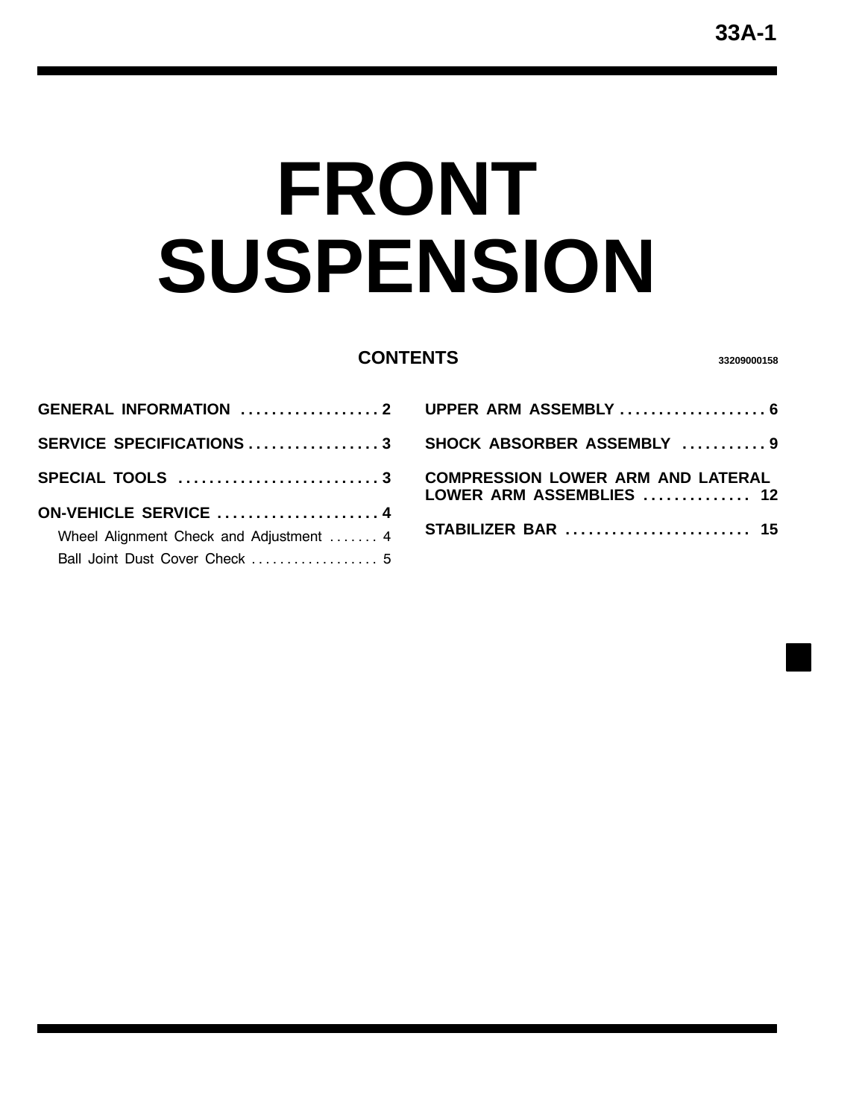# <span id="page-0-0"></span>**FRONT SUSPENSION**

#### **CONTENTS <sup>33209000158</sup>**

| <b>GENERAL INFORMATION 2</b>            |  |
|-----------------------------------------|--|
| SERVICE SPECIFICATIONS 3                |  |
|                                         |  |
|                                         |  |
| ON-VEHICLE SERVICE  4                   |  |
| Wheel Alignment Check and Adjustment  4 |  |
| Ball Joint Dust Cover Check  5          |  |

| UPPER ARM ASSEMBLY  6                                                |
|----------------------------------------------------------------------|
| SHOCK ABSORBER ASSEMBLY  9                                           |
| <b>COMPRESSION LOWER ARM AND LATERAL</b><br>LOWER ARM ASSEMBLIES  12 |
| <b>STABILIZER BAR</b> 15                                             |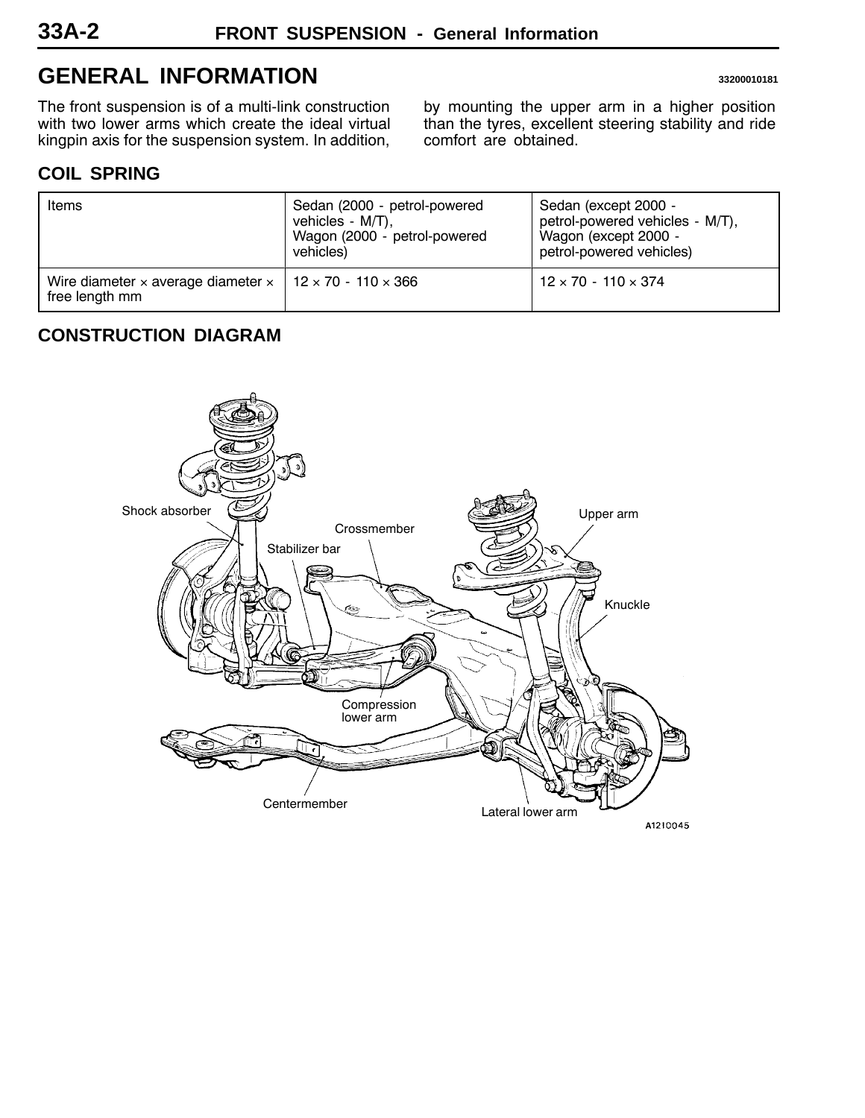## <span id="page-1-0"></span>**GENERAL INFORMATION 33200010181**

The front suspension is of a multi-link construction with two lower arms which create the ideal virtual kingpin axis for the suspension system. In addition,

by mounting the upper arm in a higher position than the tyres, excellent steering stability and ride comfort are obtained.

## **COIL SPRING**

| Items                                                                             | Sedan (2000 - petrol-powered<br>vehicles - $M/T$ ),<br>Wagon (2000 - petrol-powered<br>vehicles) | Sedan (except 2000 -<br>petrol-powered vehicles - M/T),<br>Wagon (except 2000 -<br>petrol-powered vehicles) |
|-----------------------------------------------------------------------------------|--------------------------------------------------------------------------------------------------|-------------------------------------------------------------------------------------------------------------|
| Wire diameter x average diameter $\times$   12 x 70 - 110 x 366<br>free length mm |                                                                                                  | $12 \times 70 - 110 \times 374$                                                                             |

## **CONSTRUCTION DIAGRAM**

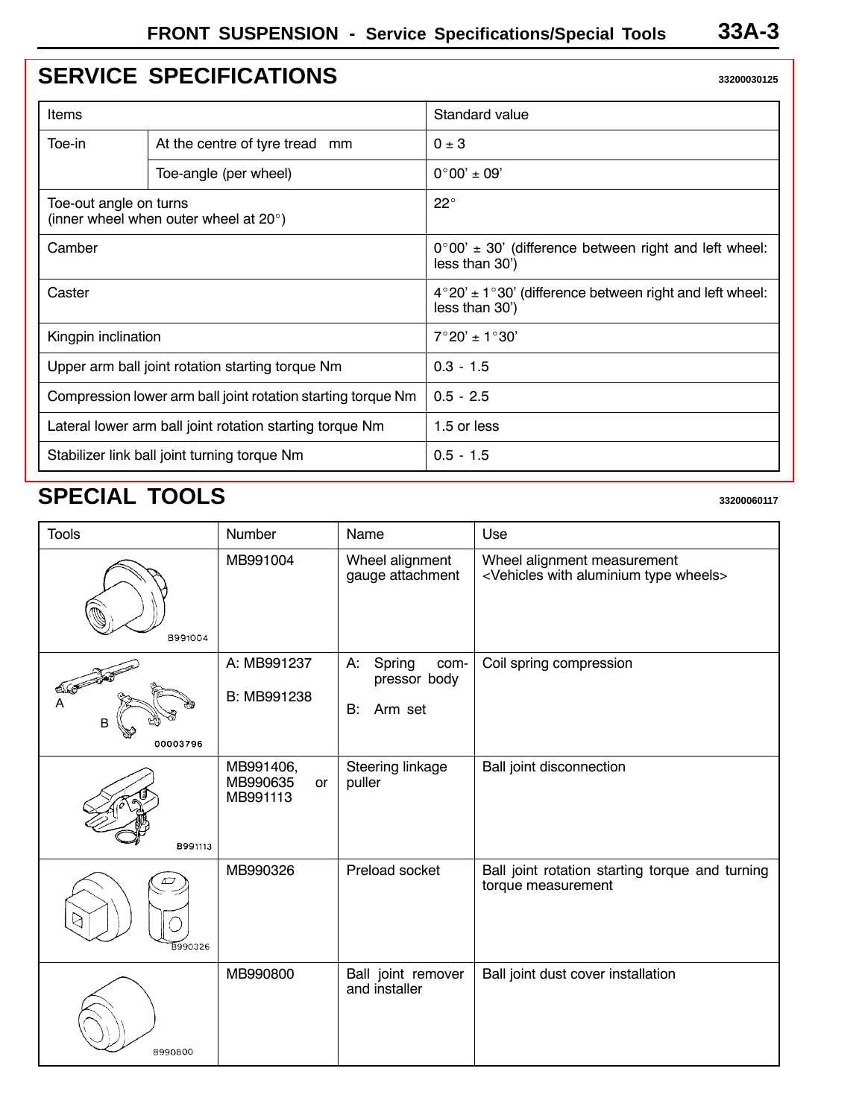## <span id="page-2-0"></span>**[SERVICE SPECIFICATIONS](#page-0-0) 33200030125**

| Items                                                           |                                | Standard value                                                                              |  |
|-----------------------------------------------------------------|--------------------------------|---------------------------------------------------------------------------------------------|--|
| Toe-in                                                          | At the centre of tyre tread mm | $0 \pm 3$                                                                                   |  |
|                                                                 | Toe-angle (per wheel)          | $0^{\circ}00' \pm 09'$                                                                      |  |
| Toe-out angle on turns<br>(inner wheel when outer wheel at 20°) |                                | $22^{\circ}$                                                                                |  |
| Camber                                                          |                                | $0^{\circ}00' \pm 30'$ (difference between right and left wheel:<br>less than 30')          |  |
| Caster                                                          |                                | $4^{\circ}20' \pm 1^{\circ}30'$ (difference between right and left wheel:<br>less than 30') |  |
| Kingpin inclination                                             |                                | $7^{\circ}20' \pm 1^{\circ}30'$                                                             |  |
| Upper arm ball joint rotation starting torque Nm                |                                | $0.3 - 1.5$                                                                                 |  |
| Compression lower arm ball joint rotation starting torque Nm    |                                | $0.5 - 2.5$                                                                                 |  |
| Lateral lower arm ball joint rotation starting torque Nm        |                                | 1.5 or less                                                                                 |  |
| Stabilizer link ball joint turning torque Nm                    |                                | $0.5 - 1.5$                                                                                 |  |

## **SPECIAL TOOLS** 33200060117

| <b>Tools</b>         | Number                                         | Name                                                  | Use                                                                                         |
|----------------------|------------------------------------------------|-------------------------------------------------------|---------------------------------------------------------------------------------------------|
| B991004              | MB991004                                       | Wheel alignment<br>gauge attachment                   | Wheel alignment measurement<br><vehicles aluminium="" type="" wheels="" with=""></vehicles> |
| 200<br>B<br>00003796 | A: MB991237<br>B: MB991238                     | А:<br>Spring<br>com-<br>pressor body<br>Arm set<br>B: | Coil spring compression                                                                     |
| B991113              | MB991406,<br>MB990635<br><b>or</b><br>MB991113 | Steering linkage<br>puller                            | Ball joint disconnection                                                                    |
| ゎ<br>B990326         | MB990326                                       | Preload socket                                        | Ball joint rotation starting torque and turning<br>torque measurement                       |
| B990800              | MB990800                                       | Ball joint remover<br>and installer                   | Ball joint dust cover installation                                                          |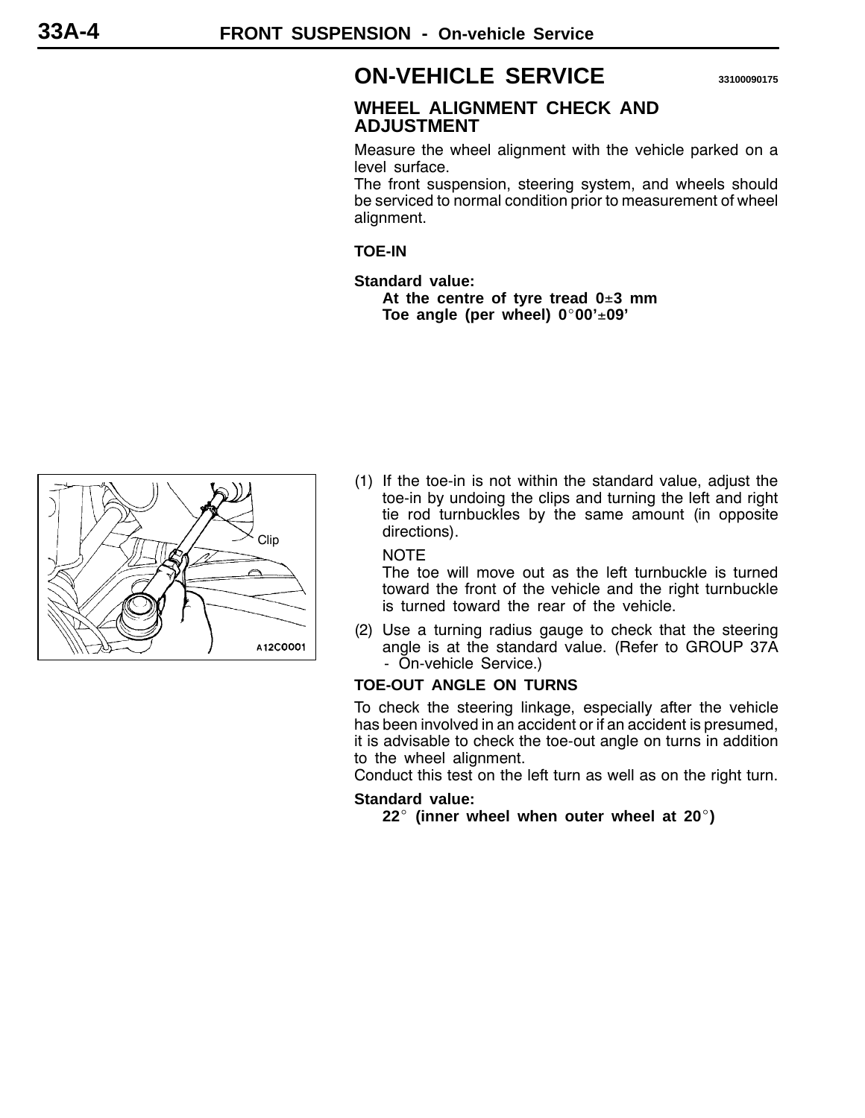## <span id="page-3-0"></span>**ON-VEHICLE SERVICE <sup>33100090175</sup>**

#### **WHEEL ALIGNMENT CHECK AND ADJUSTMENT**

Measure the wheel alignment with the vehicle parked on a level surface.

The front suspension, steering system, and wheels should be serviced to normal condition prior to measurement of wheel alignment.

**TOE-IN**

**Standard value: At the centre of tyre tread 0**±**3 mm Toe angle (per wheel) 0**\_**00'**±**09'**



(1) If the toe-in is not within the standard value, adjust the toe-in by undoing the clips and turning the left and right tie rod turnbuckles by the same amount (in opposite directions).

NOTE

The toe will move out as the left turnbuckle is turned toward the front of the vehicle and the right turnbuckle is turned toward the rear of the vehicle.

(2) Use a turning radius gauge to check that the steering angle is at the standard value. (Refer to GROUP 37A - On-vehicle Service.)

#### **TOE-OUT ANGLE ON TURNS**

To check the steering linkage, especially after the vehicle has been involved in an accident or if an accident is presumed, it is advisable to check the toe-out angle on turns in addition to the wheel alignment.

Conduct this test on the left turn as well as on the right turn.

#### **Standard value:**

**22**\_ **(inner wheel when outer wheel at 20**\_**)**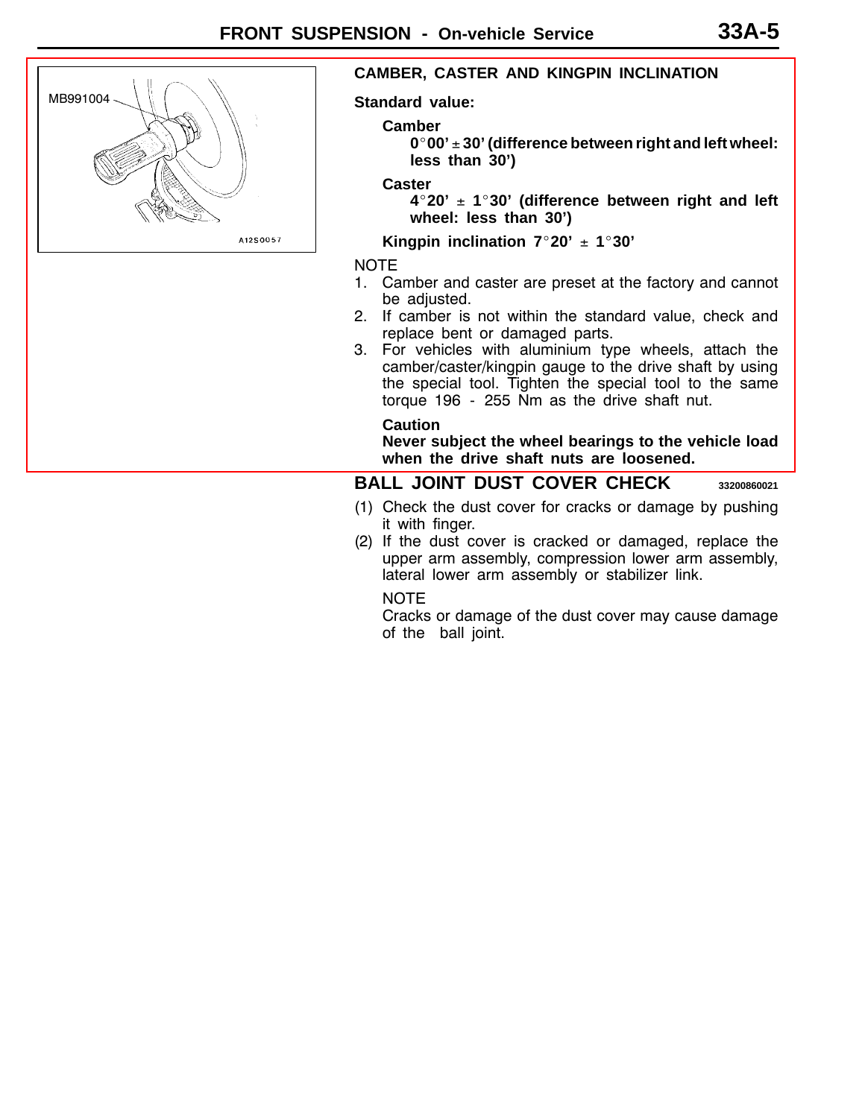

#### **CAMBER, CASTER AND KINGPIN INCLINATION**

**Standard value:**

#### **Camber**

**0**\_**00'** ± **30' (difference between right and left wheel: less than 30')**

#### **Caster**

**4**\_**20'** ± **1**\_**30' (difference between right and left wheel: less than 30')**

**Kingpin inclination**  $7°20' \pm 1°30'$ 

NOTE

- [1. Camber and caster are preset at the factory and cannot](#page-0-0) be adjusted.
- 2. If camber is not within the standard value, check and replace bent or damaged parts.
- 3. For vehicles with aluminium type wheels, attach the camber/caster/kingpin gauge to the drive shaft by using the special tool. Tighten the special tool to the same torque 196 - 255 Nm as the drive shaft nut.

**Caution**

**Never subject the wheel bearings to the vehicle load when the drive shaft nuts are loosened.**

#### **BALL JOINT DUST COVER CHECK <sup>33200860021</sup>**

- (1) Check the dust cover for cracks or damage by pushing it with finger.
- (2) If the dust cover is cracked or damaged, replace the upper arm assembly, compression lower arm assembly, lateral lower arm assembly or stabilizer link.

#### NOTE

Cracks or damage of the dust cover may cause damage of the ball joint.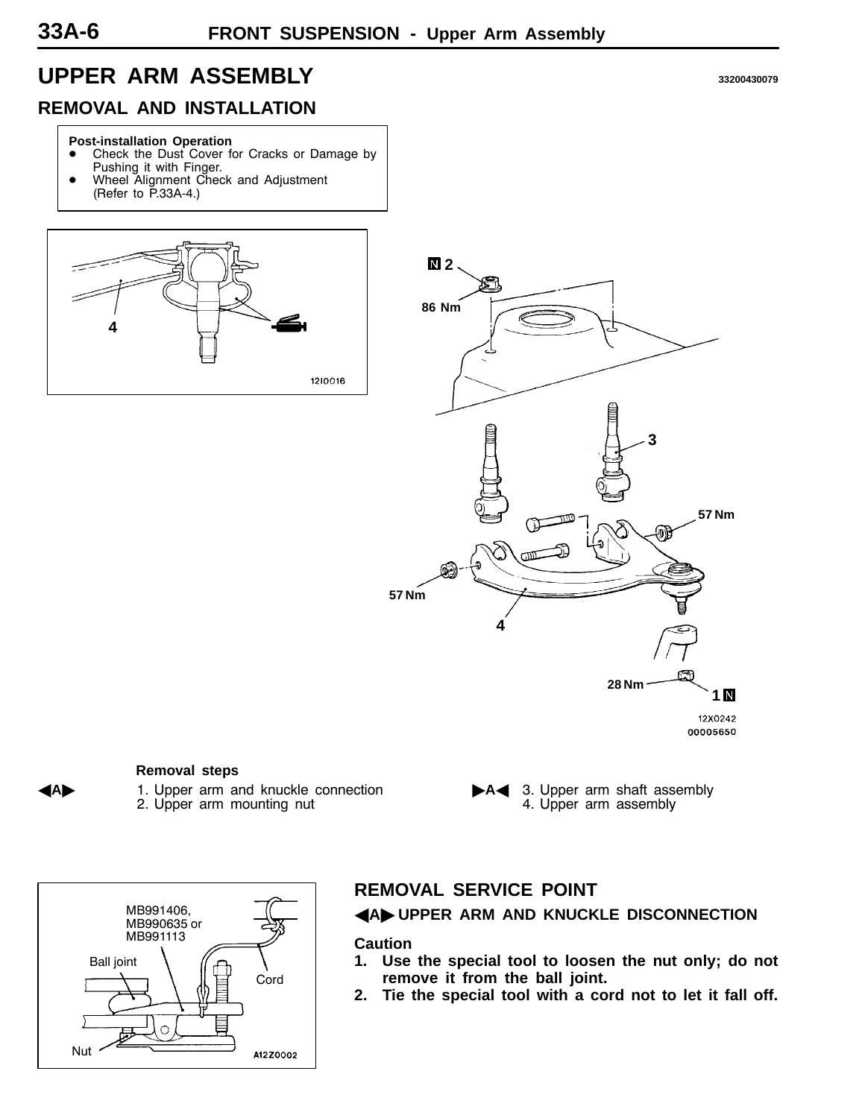## <span id="page-5-0"></span>**UPPER ARM ASSEMBLY <sup>33200430079</sup>**

## **REMOVAL AND INSTALLATION**

#### **Post-installation Operation**

- Check the Dust Cover for Cracks or Damage by
- Pushing it with Finger. Wheel Alignment Check and Adjustment
- (Refer to P.33A-4.)





#### **Removal steps**

**A** 1. Upper arm and knuckle connection 2. Upper arm mounting nut

A4 3. Upper arm shaft assembly 4. Upper arm assembly



### **REMOVAL SERVICE POINT**

A**A**" **UPPER ARM AND KNUCKLE DISCONNECTION**

#### **Caution**

- **1. Use the special tool to loosen the nut only; do not remove it from the ball joint.**
- **2. Tie the special tool with a cord not to let it fall off.**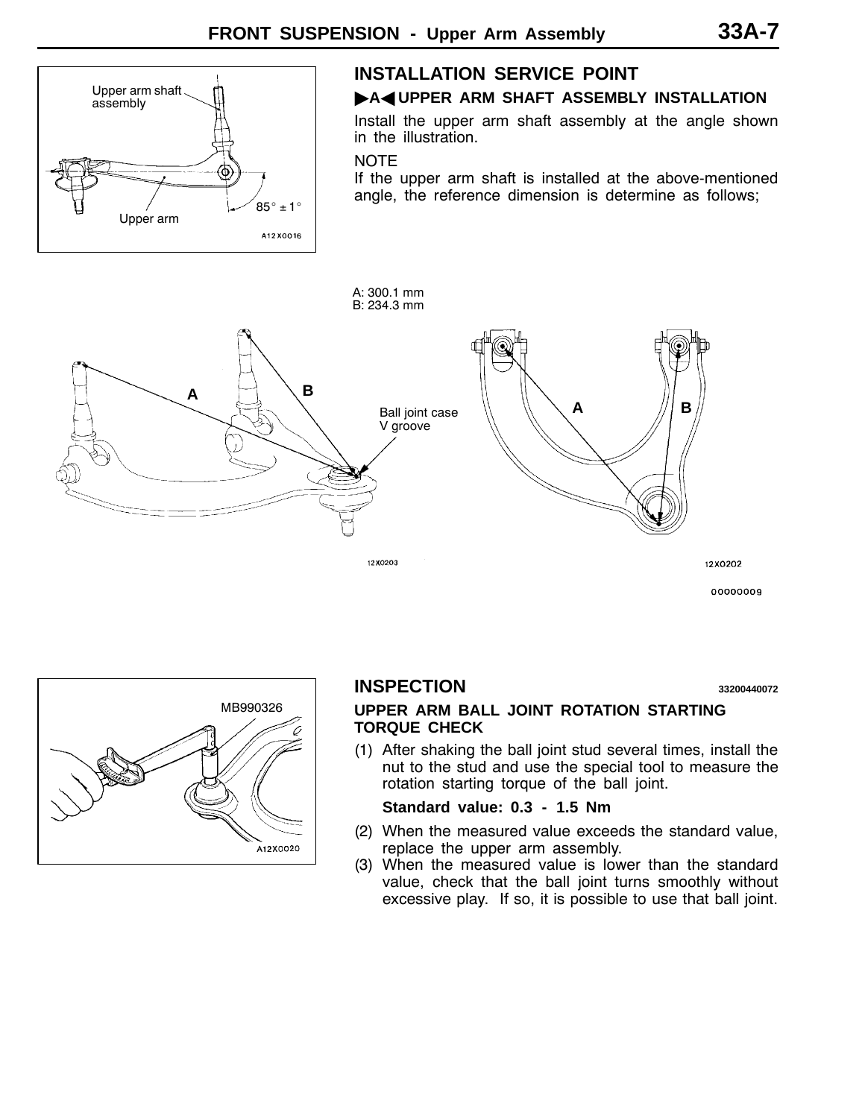

#### **INSTALLATION SERVICE POINT**

#### **A**AUPPER ARM SHAFT ASSEMBLY INSTALLATION

Install the upper arm shaft assembly at the angle shown in the illustration.

#### **NOTE**

If the upper arm shaft is installed at the above-mentioned angle, the reference dimension is determine as follows;



00000009



#### **INSPECTION <sup>33200440072</sup>**

#### **UPPER ARM BALL JOINT ROTATION STARTING TORQUE CHECK**

(1) After shaking the ball joint stud several times, install the nut to the stud and use the special tool to measure the rotation starting torque of the ball joint.

#### **Standard value: 0.3 - 1.5 Nm**

- (2) When the measured value exceeds the standard value, replace the upper arm assembly.
- (3) When the measured value is lower than the standard value, check that the ball joint turns smoothly without excessive play. If so, it is possible to use that ball joint.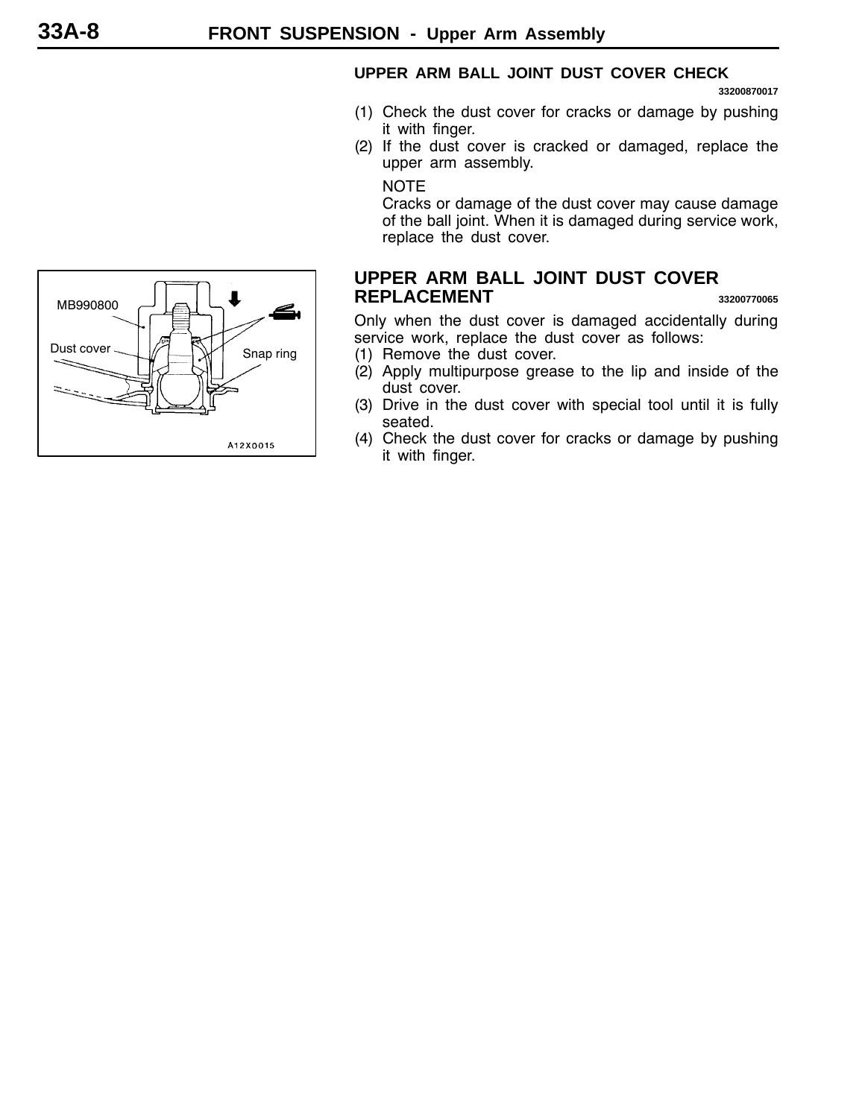#### **UPPER ARM BALL JOINT DUST COVER CHECK**

**33200870017**

- (1) Check the dust cover for cracks or damage by pushing it with finger.
- (2) If the dust cover is cracked or damaged, replace the upper arm assembly.

NOTE

Cracks or damage of the dust cover may cause damage of the ball joint. When it is damaged during service work, replace the dust cover.

#### **UPPER ARM BALL JOINT DUST COVER REPLACEMENT <sup>33200770065</sup>**

Only when the dust cover is damaged accidentally during service work, replace the dust cover as follows:

- (1) Remove the dust cover.
- (2) Apply multipurpose grease to the lip and inside of the dust cover.
- (3) Drive in the dust cover with special tool until it is fully seated.
- (4) Check the dust cover for cracks or damage by pushing it with finger.

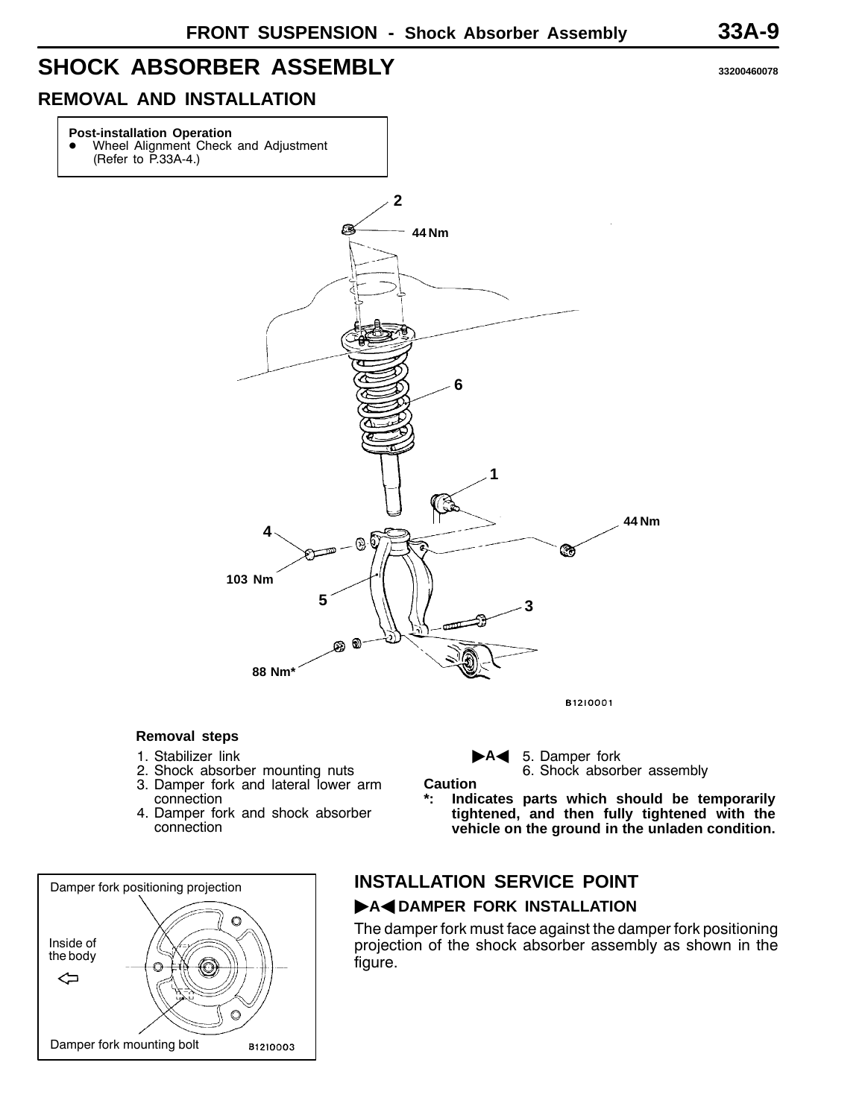## <span id="page-8-0"></span>**SHOCK ABSORBER ASSEMBLY <sup>33200460078</sup>**

### **REMOVAL AND INSTALLATION**

## **Post-installation Operation • Wheel Alignment Check and Adjustment** (Refer to P.33A-4.) **2** £3 **44 Nm 6 1 44 Nm 4** - 09  $\overline{m}$ ⊛ **103 Nm 5 3**  $\odot$ ⊛ **88 Nm\*** B1210001

#### **Removal steps**

- 1. Stabilizer link
- 2. Shock absorber mounting nuts
- 3. Damper fork and lateral lower arm connection
- 4. Damper fork and shock absorber connection



# **INSTALLATION SERVICE POINT**

**Caution**

#### **A4DAMPER FORK INSTALLATION**

The damper fork must face against the damper fork positioning projection of the shock absorber assembly as shown in the figure.

A<sup>t</sup> 5. Damper fork

6. Shock absorber assembly

**\*: Indicates parts which should be temporarily tightened, and then fully tightened with the vehicle on the ground in the unladen condition.**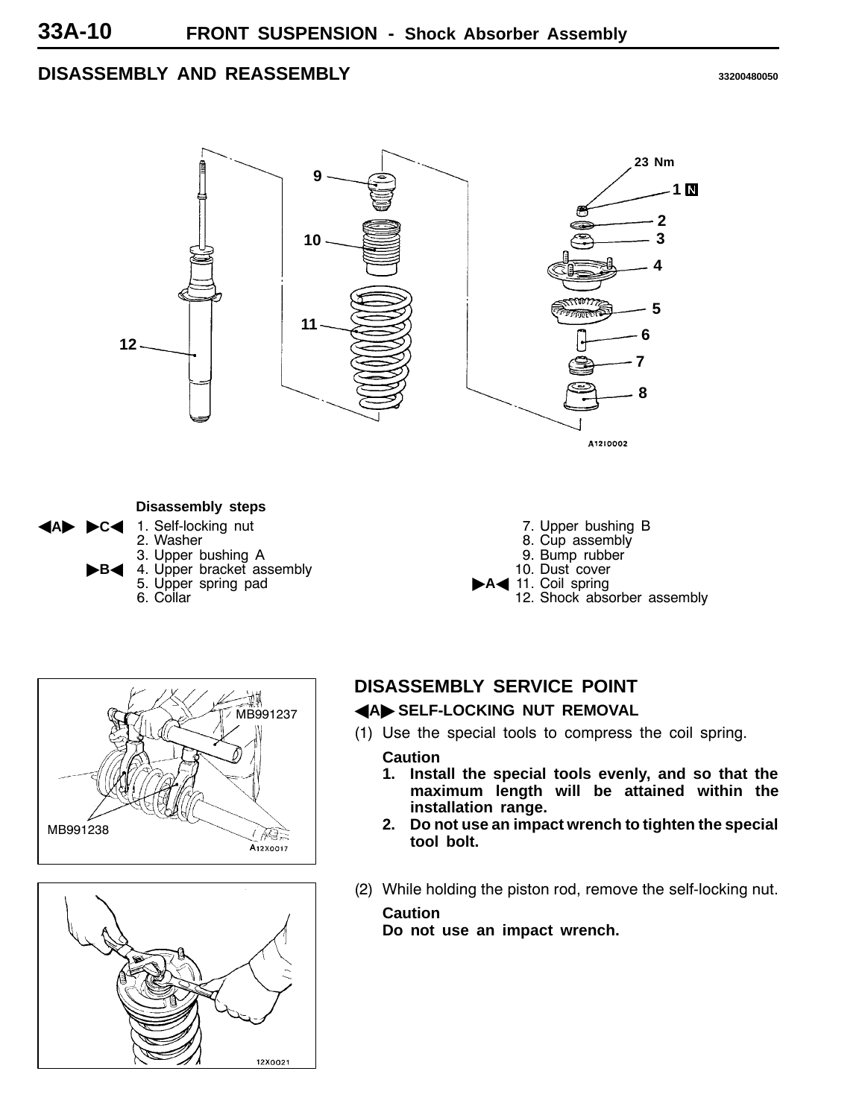#### **DISASSEMBLY AND REASSEMBLY <sup>33200480050</sup>**



**C**< 1. Self-locking nut 2. Washer 3. Upper bushing A **B**<sup>4</sup> 4. Upper bracket assembly 5. Upper spring pad 6. Collar

- 7. Upper bushing B
- 8. Cup assembly
- 9. Bump rubber
- 10. Dust cover
- A<11. Coil spring 12. Shock absorber assembly





#### **DISASSEMBLY SERVICE POINT**

#### **AA SELF-LOCKING NUT REMOVAL**

(1) Use the special tools to compress the coil spring.

#### **Caution**

- **1. Install the special tools evenly, and so that the maximum length will be attained within the installation range.**
- **2. Do not use an impact wrench to tighten the special tool bolt.**
- (2) While holding the piston rod, remove the self-locking nut.

#### **Caution**

**Do not use an impact wrench.**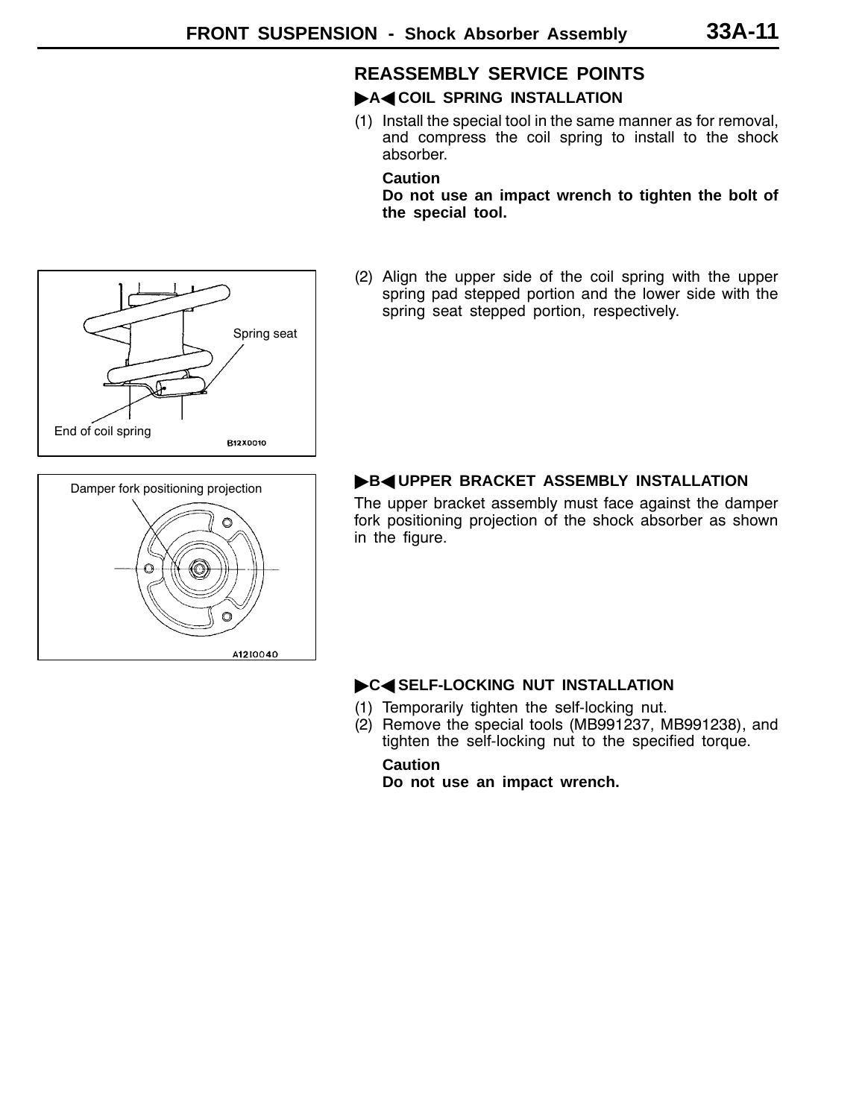#### **REASSEMBLY SERVICE POINTS**

#### **A4 COIL SPRING INSTALLATION**

(1) Install the special tool in the same manner as for removal, and compress the coil spring to install to the shock absorber.

#### **Caution**

**Do not use an impact wrench to tighten the bolt of the special tool.**

(2) Align the upper side of the coil spring with the upper spring pad stepped portion and the lower side with the spring seat stepped portion, respectively.



Spring seat

A1210040

#### **B**<br /> **B**<br /> **B**<br /> **B**<br /> **B**<br /> **B**<br /> **B**<br /> **B**<br /> **B**<br /> **B**<br /> **B**<br /> **B**<br /> **B**<br /> **B**<br /> **B**<br /> **B**<br /> **B**<br /> **B**<br /> **B**<br /> **B**<br /> **B**<br /> **B**<br /> **B**

The upper bracket assembly must face against the damper fork positioning projection of the shock absorber as shown in the figure.

#### **C<SELF-LOCKING NUT INSTALLATION**

- (1) Temporarily tighten the self-locking nut.
- (2) Remove the special tools (MB991237, MB991238), and tighten the self-locking nut to the specified torque.

#### **Caution**

**Do not use an impact wrench.**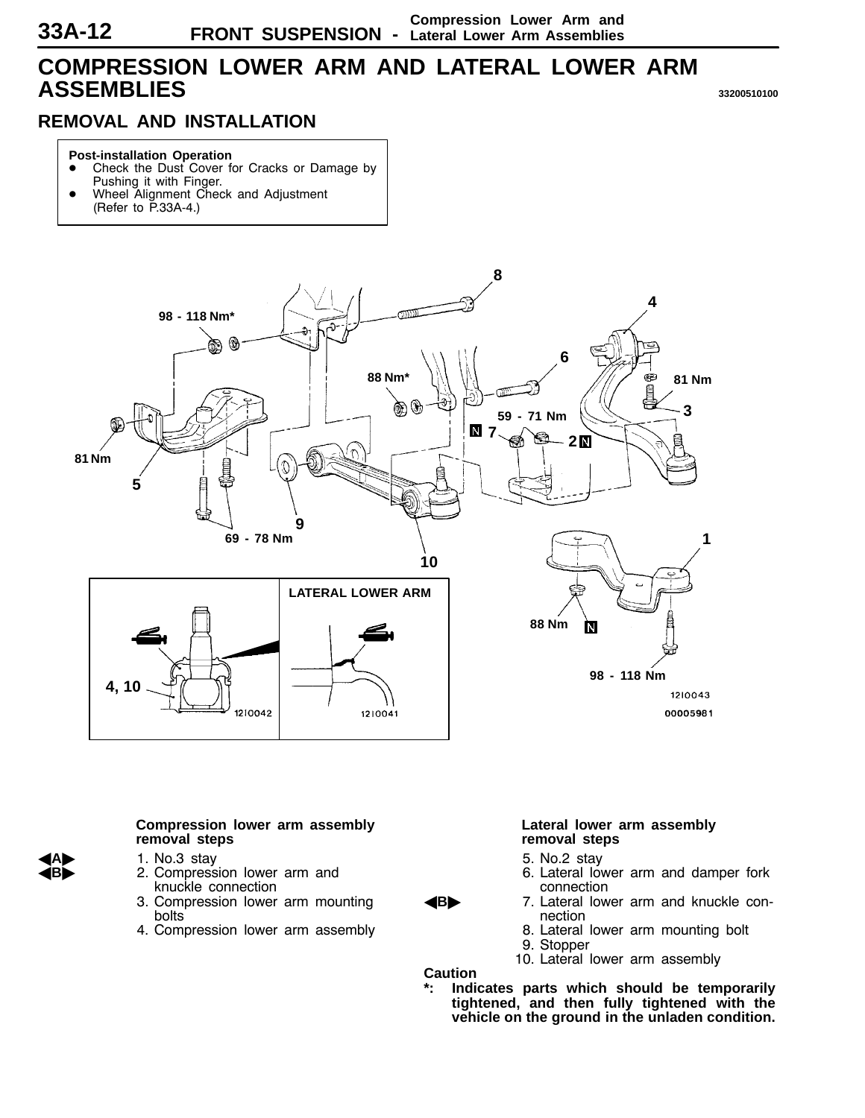## <span id="page-11-0"></span>**COMPRESSION LOWER ARM AND LATERAL LOWER ARM ASSEMBLIES <sup>33200510100</sup>**

## **REMOVAL AND INSTALLATION**

#### **Post-installation Operation**

- Check the Dust Cover for Cracks or Damage by Pushing it with Finger.
- Wheel Alignment Check and Adjustment (Refer to P.33A-4.)



#### **Compression lower arm assembly removal steps**

- A**A**" 1. No.3 stay
- 2. Compression lower arm and knuckle connection
- 3. Compression lower arm mounting bolts
- 4. Compression lower arm assembly

#### **Lateral lower arm assembly removal steps**

- 5. No.2 stay
- 6. Lateral lower arm and damper fork connection
- **B>** 7. Lateral lower arm and knuckle connection
	- 8. Lateral lower arm mounting bolt
	- 9. Stopper
	- 10. Lateral lower arm assembly

**Caution**

**\*: Indicates parts which should be temporarily tightened, and then fully tightened with the vehicle on the ground in the unladen condition.**

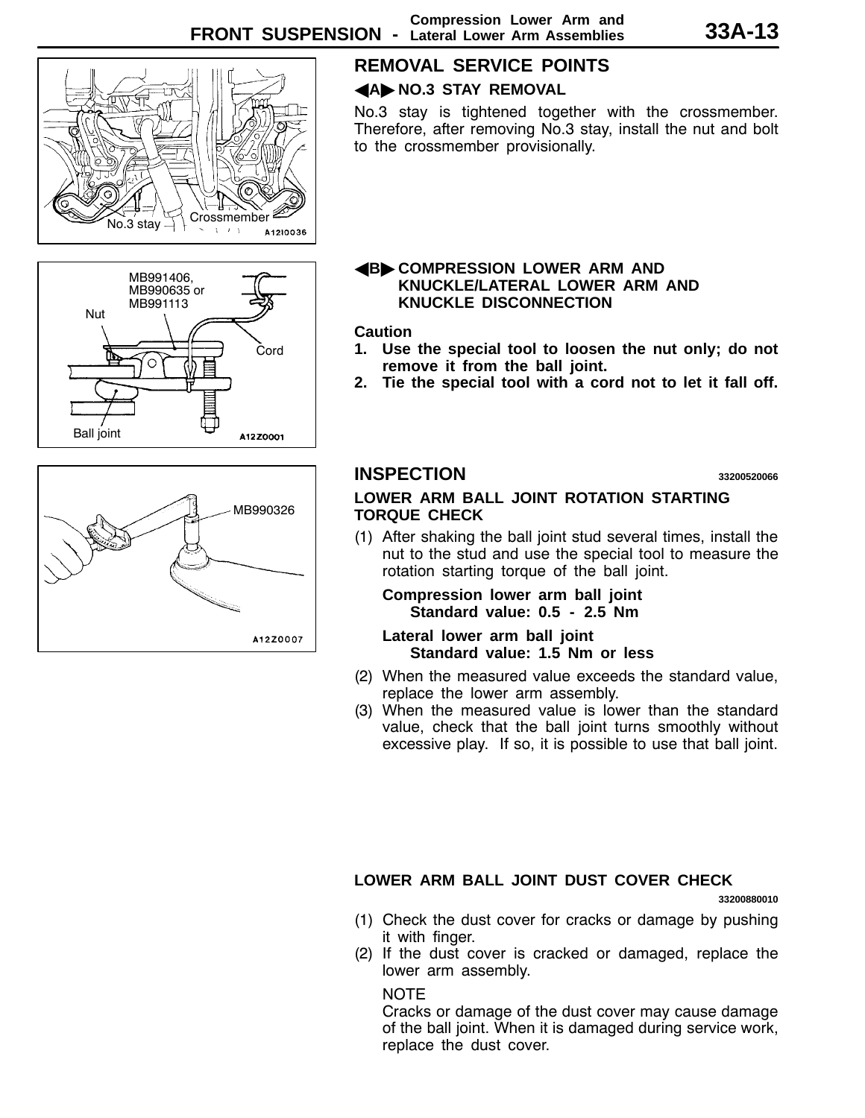

## **REMOVAL SERVICE POINTS**

#### **AA** NO.3 STAY REMOVAL

No.3 stay is tightened together with the crossmember. Therefore, after removing No.3 stay, install the nut and bolt to the crossmember provisionally.

## MB991406, MB990635 or MB991113 Nut Cord C Ball joint

A12Z0001

MB990326A12Z0007

#### A**B**" **COMPRESSION LOWER ARM AND KNUCKLE/LATERAL LOWER ARM AND KNUCKLE DISCONNECTION**

#### **Caution**

- **1. Use the special tool to loosen the nut only; do not remove it from the ball joint.**
- **2. Tie the special tool with a cord not to let it fall off.**

#### **INSPECTION <sup>33200520066</sup>**

#### **LOWER ARM BALL JOINT ROTATION STARTING TORQUE CHECK**

(1) After shaking the ball joint stud several times, install the nut to the stud and use the special tool to measure the rotation starting torque of the ball joint.

**Compression lower arm ball joint Standard value: 0.5 - 2.5 Nm**

**Lateral lower arm ball joint Standard value: 1.5 Nm or less**

- (2) When the measured value exceeds the standard value, replace the lower arm assembly.
- (3) When the measured value is lower than the standard value, check that the ball joint turns smoothly without excessive play. If so, it is possible to use that ball joint.

#### **LOWER ARM BALL JOINT DUST COVER CHECK**

**33200880010**

- (1) Check the dust cover for cracks or damage by pushing it with finger.
- (2) If the dust cover is cracked or damaged, replace the lower arm assembly.

#### **NOTE**

Cracks or damage of the dust cover may cause damage of the ball joint. When it is damaged during service work, replace the dust cover.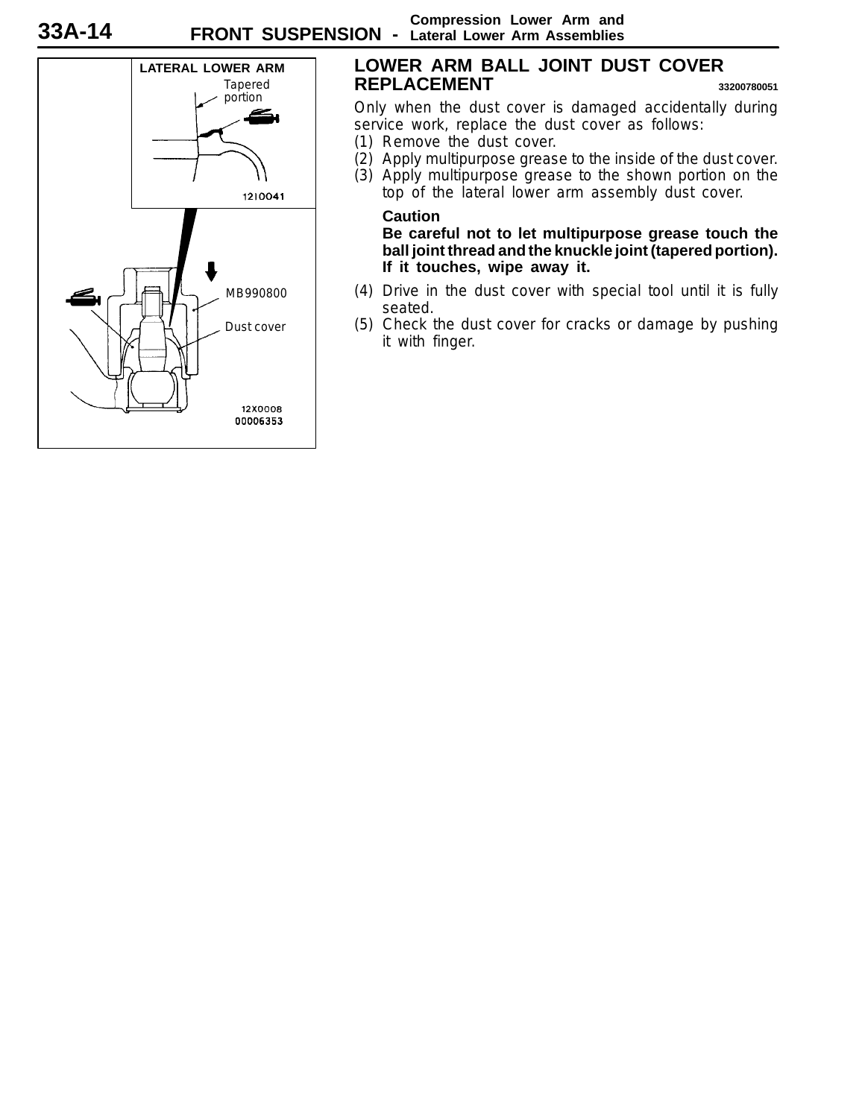

#### **LOWER ARM BALL JOINT DUST COVER REPLACEMENT <sup>33200780051</sup>**

Only when the dust cover is damaged accidentally during service work, replace the dust cover as follows:

- (1) Remove the dust cover.
- (2) Apply multipurpose grease to the inside of the dust cover.

(3) Apply multipurpose grease to the shown portion on the top of the lateral lower arm assembly dust cover.

#### **Caution**

**Be careful not to let multipurpose grease touch the ball joint thread and the knuckle joint (tapered portion). If it touches, wipe away it.**

- (4) Drive in the dust cover with special tool until it is fully seated.
- (5) Check the dust cover for cracks or damage by pushing it with finger.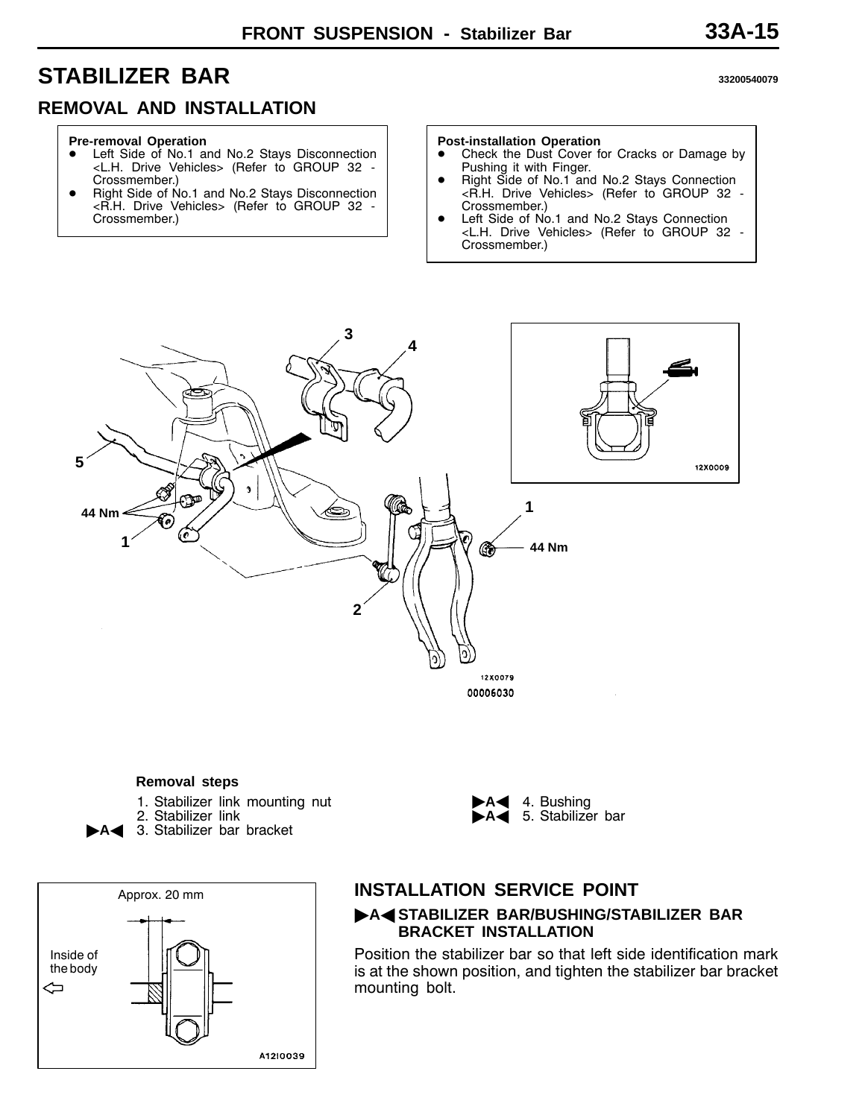## <span id="page-14-0"></span>**STABILIZER BAR <sup>33200540079</sup>**

#### **REMOVAL AND INSTALLATION**

#### **Pre-removal Operation**

- Left Side of No.1 and No.2 Stays Disconnection <L.H. Drive Vehicles> (Refer to GROUP 32 - Crossmember.)
- Right Side of No.1 and No.2 Stays Disconnection <R.H. Drive Vehicles> (Refer to GROUP 32 - Crossmember.)

#### **Post-installation Operation**

- Check the Dust Cover for Cracks or Damage by Pushing it with Finger.
- Right Side of No.1 and No.2 Stays Connection <R.H. Drive Vehicles> (Refer to GROUP 32 - Crossmember.)
- Left Side of No.1 and No.2 Stays Connection <L.H. Drive Vehicles> (Refer to GROUP 32 - Crossmember.)



#### **Removal steps**

- 1. Stabilizer link mounting nut
- 2. Stabilizer link
- 3. Stabilizer bar bracket



#### 4. Bushing 5. Stabilizer bar

#### **INSTALLATION SERVICE POINT** "**A**A **STABILIZER BAR/BUSHING/STABILIZER BAR BRACKET INSTALLATION**

Position the stabilizer bar so that left side identification mark is at the shown position, and tighten the stabilizer bar bracket mounting bolt.